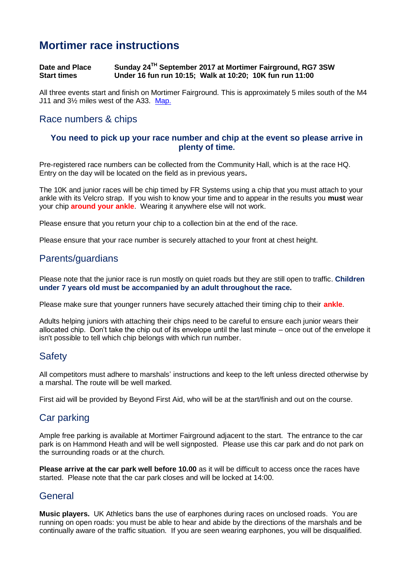# **Mortimer race instructions**

#### **Date and Place<br>Start times TH September 2017 at Mortimer Fairground, RG7 3SW Start times Under 16 fun run 10:15; Walk at 10:20; 10K fun run 11:00**

All three events start and finish on Mortimer Fairground. This is approximately 5 miles south of the M4 J11 and 3½ miles west of the A33. [Map.](https://goo.gl/maps/Kpd3H)

# Race numbers & chips

#### **You need to pick up your race number and chip at the event so please arrive in plenty of time.**

Pre-registered race numbers can be collected from the Community Hall, which is at the race HQ. Entry on the day will be located on the field as in previous years**.**

The 10K and junior races will be chip timed by FR Systems using a chip that you must attach to your ankle with its Velcro strap. If you wish to know your time and to appear in the results you **must** wear your chip **around your ankle**. Wearing it anywhere else will not work.

Please ensure that you return your chip to a collection bin at the end of the race.

Please ensure that your race number is securely attached to your front at chest height.

## Parents/guardians

Please note that the junior race is run mostly on quiet roads but they are still open to traffic. **Children under 7 years old must be accompanied by an adult throughout the race.**

Please make sure that younger runners have securely attached their timing chip to their **ankle**.

Adults helping juniors with attaching their chips need to be careful to ensure each junior wears their allocated chip. Don't take the chip out of its envelope until the last minute – once out of the envelope it isn't possible to tell which chip belongs with which run number.

# **Safety**

All competitors must adhere to marshals' instructions and keep to the left unless directed otherwise by a marshal. The route will be well marked.

First aid will be provided by Beyond First Aid, who will be at the start/finish and out on the course.

### Car parking

Ample free parking is available at Mortimer Fairground adjacent to the start. The entrance to the car park is on Hammond Heath and will be well signposted. Please use this car park and do not park on the surrounding roads or at the church.

**Please arrive at the car park well before 10.00** as it will be difficult to access once the races have started. Please note that the car park closes and will be locked at 14:00.

# **General**

**Music players.** UK Athletics bans the use of earphones during races on unclosed roads. You are running on open roads: you must be able to hear and abide by the directions of the marshals and be continually aware of the traffic situation. If you are seen wearing earphones, you will be disqualified.